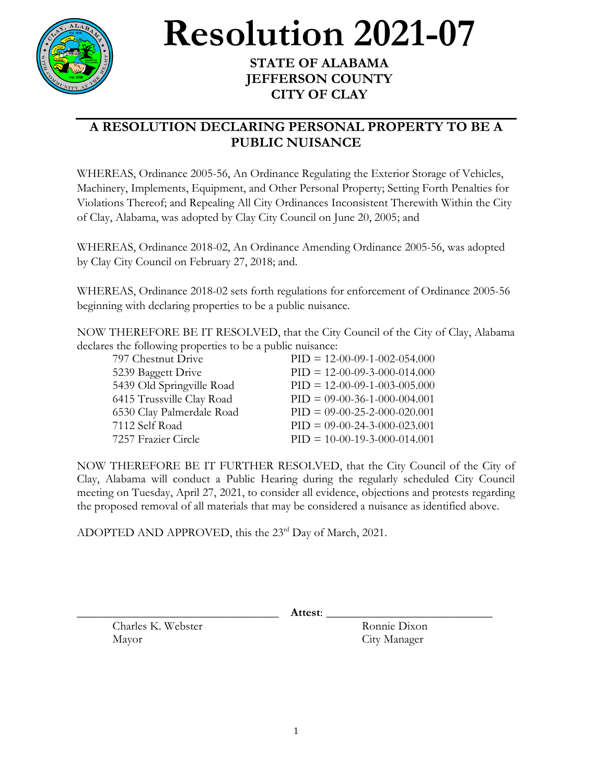

## **Resolution 2021-07**

## **STATE OF ALABAMA JEFFERSON COUNTY CITY OF CLAY**

## **A RESOLUTION DECLARING PERSONAL PROPERTY TO BE A PUBLIC NUISANCE**

WHEREAS, Ordinance 2005-56, An Ordinance Regulating the Exterior Storage of Vehicles, Machinery, Implements, Equipment, and Other Personal Property; Setting Forth Penalties for Violations Thereof; and Repealing All City Ordinances Inconsistent Therewith Within the City of Clay, Alabama, was adopted by Clay City Council on June 20, 2005; and

WHEREAS, Ordinance 2018-02, An Ordinance Amending Ordinance 2005-56, was adopted by Clay City Council on February 27, 2018; and.

WHEREAS, Ordinance 2018-02 sets forth regulations for enforcement of Ordinance 2005-56 beginning with declaring properties to be a public nuisance.

NOW THEREFORE BE IT RESOLVED, that the City Council of the City of Clay, Alabama declares the following properties to be a public nuisance:

| 797 Chestnut Drive        | $PID = 12-00-09-1-002-054.000$ |
|---------------------------|--------------------------------|
| 5239 Baggett Drive        | $PID = 12-00-09-3-000-014.000$ |
| 5439 Old Springville Road | $PID = 12-00-09-1-003-005.000$ |
| 6415 Trussville Clay Road | $PID = 09-00-36-1-000-004.001$ |
| 6530 Clay Palmerdale Road | $PID = 09-00-25-2-000-020.001$ |
| 7112 Self Road            | $PID = 09-00-24-3-000-023.001$ |
| 7257 Frazier Circle       | $PID = 10-00-19-3-000-014.001$ |

NOW THEREFORE BE IT FURTHER RESOLVED, that the City Council of the City of Clay, Alabama will conduct a Public Hearing during the regularly scheduled City Council meeting on Tuesday, April 27, 2021, to consider all evidence, objections and protests regarding the proposed removal of all materials that may be considered a nuisance as identified above.

ADOPTED AND APPROVED, this the 23<sup>rd</sup> Day of March, 2021.

\_\_\_\_\_\_\_\_\_\_\_\_\_\_\_\_\_\_\_\_\_\_\_\_\_\_\_\_\_\_\_\_\_\_ **Attest**: \_\_\_\_\_\_\_\_\_\_\_\_\_\_\_\_\_\_\_\_\_\_\_\_\_\_\_\_

Charles K. Webster Ronnie Dixon Mayor City Manager